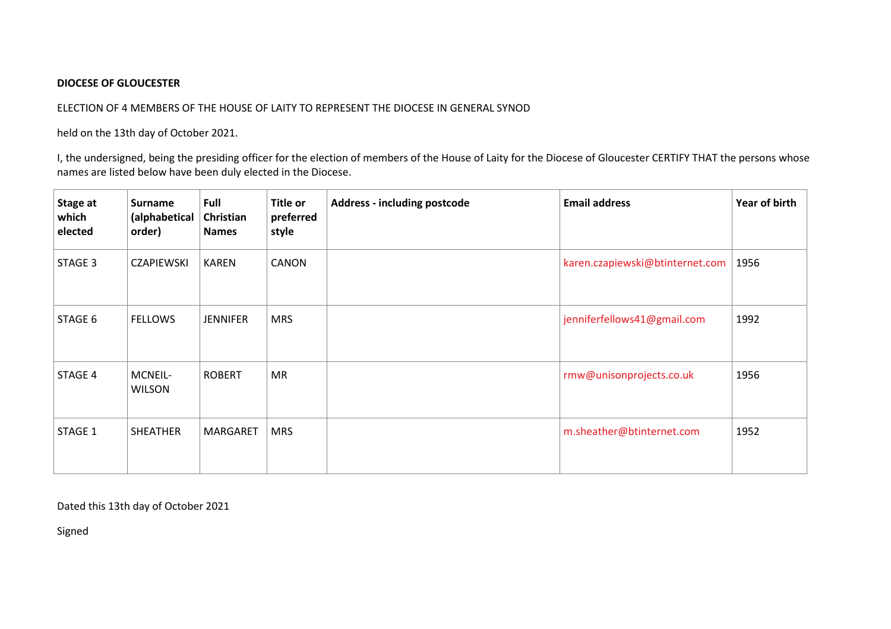## **DIOCESE OF GLOUCESTER**

## ELECTION OF 4 MEMBERS OF THE HOUSE OF LAITY TO REPRESENT THE DIOCESE IN GENERAL SYNOD

held on the 13th day of October 2021.

I, the undersigned, being the presiding officer for the election of members of the House of Laity for the Diocese of Gloucester CERTIFY THAT the persons whose names are listed below have been duly elected in the Diocese.

| Stage at<br>which<br>elected | <b>Surname</b><br>(alphabetical<br>order) | Full<br>Christian<br><b>Names</b> | <b>Title or</b><br>preferred<br>style | <b>Address - including postcode</b> | <b>Email address</b>            | Year of birth |
|------------------------------|-------------------------------------------|-----------------------------------|---------------------------------------|-------------------------------------|---------------------------------|---------------|
| STAGE 3                      | <b>CZAPIEWSKI</b>                         | <b>KAREN</b>                      | <b>CANON</b>                          |                                     | karen.czapiewski@btinternet.com | 1956          |
| STAGE 6                      | <b>FELLOWS</b>                            | <b>JENNIFER</b>                   | <b>MRS</b>                            |                                     | jenniferfellows41@gmail.com     | 1992          |
| STAGE 4                      | MCNEIL-<br><b>WILSON</b>                  | <b>ROBERT</b>                     | MR                                    |                                     | rmw@unisonprojects.co.uk        | 1956          |
| STAGE 1                      | <b>SHEATHER</b>                           | <b>MARGARET</b>                   | <b>MRS</b>                            |                                     | m.sheather@btinternet.com       | 1952          |

Dated this 13th day of October 2021

Signed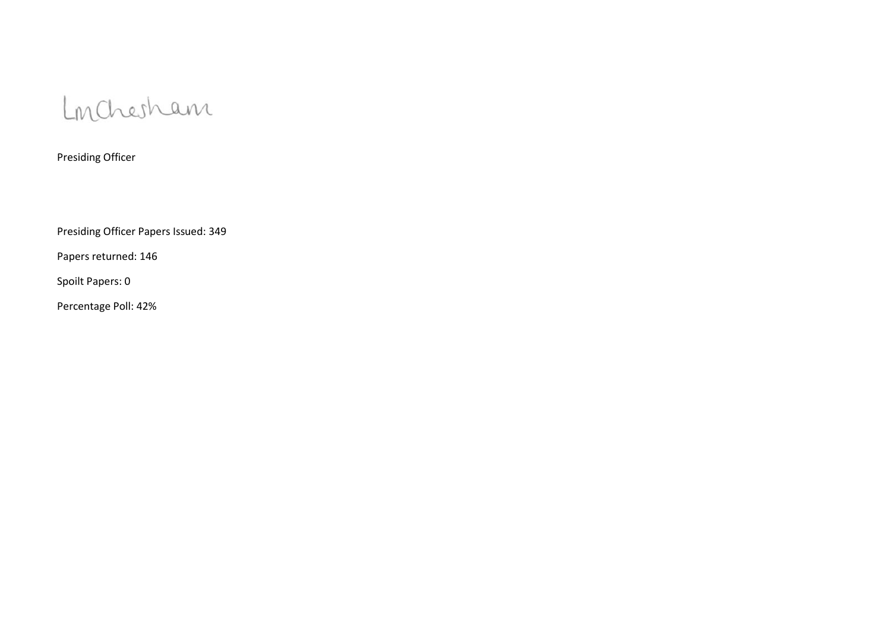

Presiding Officer

Presiding Officer Papers Issued: 349

Papers returned: 146

Spoilt Papers: 0

Percentage Poll: 42%